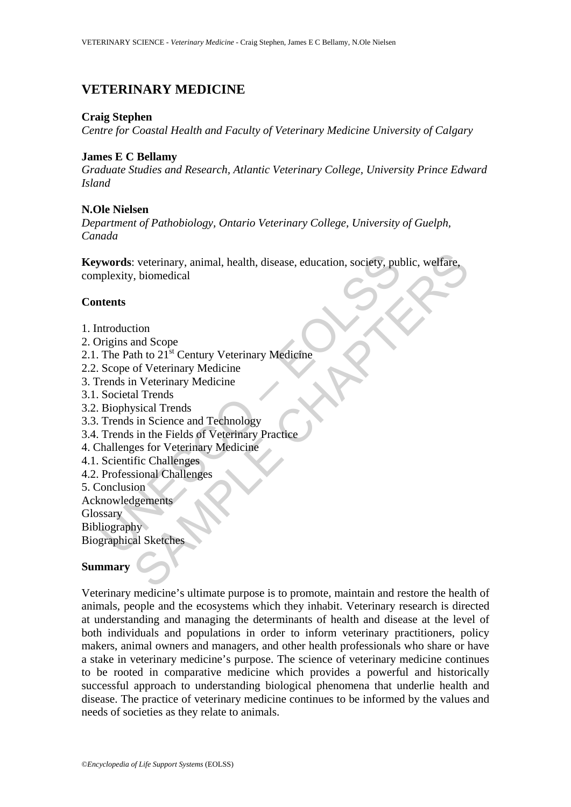# **VETERINARY MEDICINE**

### **Craig Stephen**

*Centre for Coastal Health and Faculty of Veterinary Medicine University of Calgary*

#### **James E C Bellamy**

*Graduate Studies and Research, Atlantic Veterinary College, University Prince Edward Island* 

#### **N.Ole Nielsen**

*Department of Pathobiology, Ontario Veterinary College, University of Guelph, Canada* 

**Example Schemanners**<br> **Example Schemanners**<br> **Example Schemanners**<br> **Example Schemanners**<br> **Example Schemanners**<br> **Example Scope of Veterinary Medicine**<br> **Example Scope of Veterinary Medicine**<br> **Example Scope of Veterinar** Exercision and Scope<br>
Section And Scope<br>
Section Assessment And Scope<br>
State of Veterinary Medicine<br>
State of Veterinary Medicine<br>
In Veterinary Medicine<br>
Sister and Scope<br>
State of Veterinary Medicine<br>
State of Veterinary **Keywords**: veterinary, animal, health, disease, education, society, public, welfare, complexity, biomedical

### **Contents**

- 1. Introduction
- 2. Origins and Scope
- 2.1. The Path to  $21<sup>st</sup>$  Century Veterinary Medicine
- 2.2. Scope of Veterinary Medicine
- 3. Trends in Veterinary Medicine
- 3.1. Societal Trends
- 3.2. Biophysical Trends
- 3.3. Trends in Science and Technology
- 3.4. Trends in the Fields of Veterinary Practice
- 4. Challenges for Veterinary Medicine
- 4.1. Scientific Challenges
- 4.2. Professional Challenges
- 5. Conclusion
- Acknowledgements
- **Glossary**
- **Bibliography**

Biographical Sketches

### **Summary**

Veterinary medicine's ultimate purpose is to promote, maintain and restore the health of animals, people and the ecosystems which they inhabit. Veterinary research is directed at understanding and managing the determinants of health and disease at the level of both individuals and populations in order to inform veterinary practitioners, policy makers, animal owners and managers, and other health professionals who share or have a stake in veterinary medicine's purpose. The science of veterinary medicine continues to be rooted in comparative medicine which provides a powerful and historically successful approach to understanding biological phenomena that underlie health and disease. The practice of veterinary medicine continues to be informed by the values and needs of societies as they relate to animals.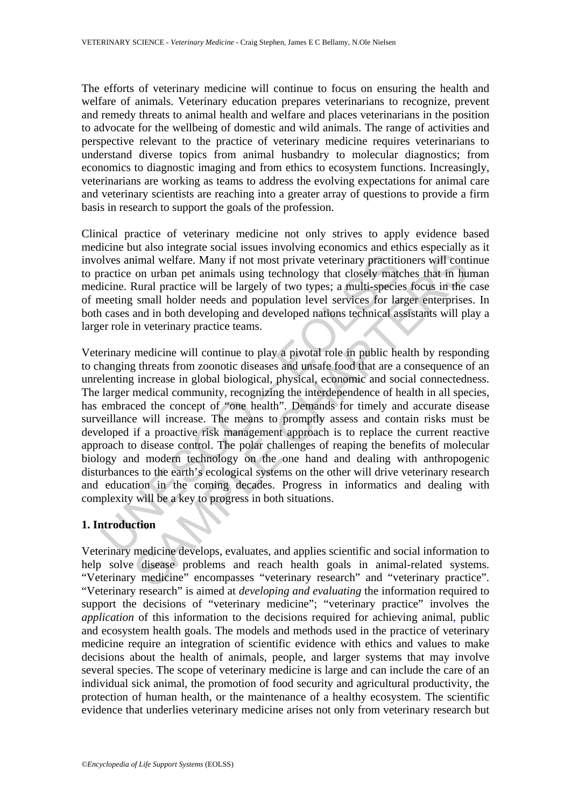The efforts of veterinary medicine will continue to focus on ensuring the health and welfare of animals. Veterinary education prepares veterinarians to recognize, prevent and remedy threats to animal health and welfare and places veterinarians in the position to advocate for the wellbeing of domestic and wild animals. The range of activities and perspective relevant to the practice of veterinary medicine requires veterinarians to understand diverse topics from animal husbandry to molecular diagnostics; from economics to diagnostic imaging and from ethics to ecosystem functions. Increasingly, veterinarians are working as teams to address the evolving expectations for animal care and veterinary scientists are reaching into a greater array of questions to provide a firm basis in research to support the goals of the profession.

Clinical practice of veterinary medicine not only strives to apply evidence based medicine but also integrate social issues involving economics and ethics especially as it involves animal welfare. Many if not most private veterinary practitioners will continue to practice on urban pet animals using technology that closely matches that in human medicine. Rural practice will be largely of two types; a multi-species focus in the case of meeting small holder needs and population level services for larger enterprises. In both cases and in both developing and developed nations technical assistants will play a larger role in veterinary practice teams.

blves animal welfare. Many if not most private veterinary practitic<br>ractice on urban pet animals using technology that closely matchicine. Rural practice will be largely of two types; a multi-specie<br>neeting small holder ne imal welfare. Many if not most private veterinary practitioners will conto on urban pet animals using technology that closely matches that in humour pet animals using technology that closely matches that in humour and prot Veterinary medicine will continue to play a pivotal role in public health by responding to changing threats from zoonotic diseases and unsafe food that are a consequence of an unrelenting increase in global biological, physical, economic and social connectedness. The larger medical community, recognizing the interdependence of health in all species, has embraced the concept of "one health". Demands for timely and accurate disease surveillance will increase. The means to promptly assess and contain risks must be developed if a proactive risk management approach is to replace the current reactive approach to disease control. The polar challenges of reaping the benefits of molecular biology and modern technology on the one hand and dealing with anthropogenic disturbances to the earth's ecological systems on the other will drive veterinary research and education in the coming decades. Progress in informatics and dealing with complexity will be a key to progress in both situations.

# **1. Introduction**

Veterinary medicine develops, evaluates, and applies scientific and social information to help solve disease problems and reach health goals in animal-related systems. "Veterinary medicine" encompasses "veterinary research" and "veterinary practice". "Veterinary research" is aimed at *developing and evaluating* the information required to support the decisions of "veterinary medicine"; "veterinary practice" involves the *application* of this information to the decisions required for achieving animal, public and ecosystem health goals. The models and methods used in the practice of veterinary medicine require an integration of scientific evidence with ethics and values to make decisions about the health of animals, people, and larger systems that may involve several species. The scope of veterinary medicine is large and can include the care of an individual sick animal, the promotion of food security and agricultural productivity, the protection of human health, or the maintenance of a healthy ecosystem. The scientific evidence that underlies veterinary medicine arises not only from veterinary research but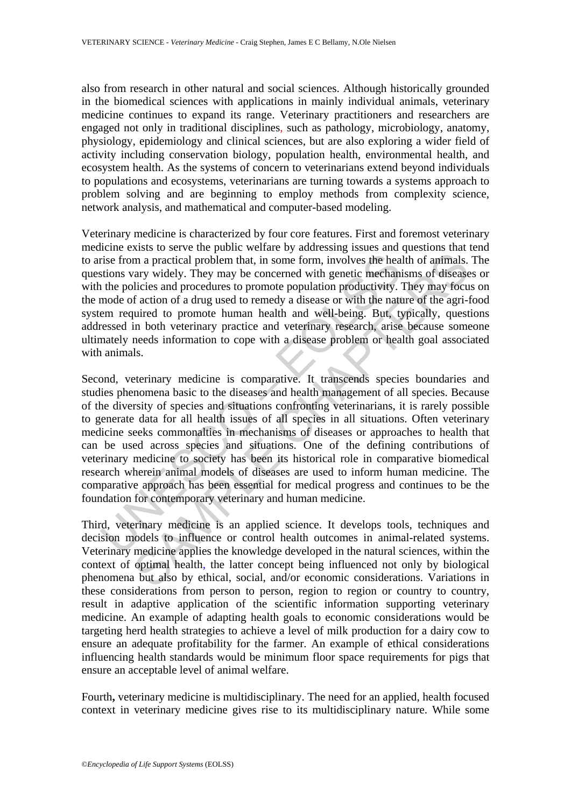also from research in other natural and social sciences. Although historically grounded in the biomedical sciences with applications in mainly individual animals, veterinary medicine continues to expand its range. Veterinary practitioners and researchers are engaged not only in traditional disciplines, such as pathology, microbiology, anatomy, physiology, epidemiology and clinical sciences, but are also exploring a wider field of activity including conservation biology, population health, environmental health, and ecosystem health. As the systems of concern to veterinarians extend beyond individuals to populations and ecosystems, veterinarians are turning towards a systems approach to problem solving and are beginning to employ methods from complexity science, network analysis, and mathematical and computer-based modeling.

Veterinary medicine is characterized by four core features. First and foremost veterinary medicine exists to serve the public welfare by addressing issues and questions that tend to arise from a practical problem that, in some form, involves the health of animals. The questions vary widely. They may be concerned with genetic mechanisms of diseases or with the policies and procedures to promote population productivity. They may focus on the mode of action of a drug used to remedy a disease or with the nature of the agri-food system required to promote human health and well-being. But, typically, questions addressed in both veterinary practice and veterinary research, arise because someone ultimately needs information to cope with a disease problem or health goal associated with animals.

rise from a practical problem that, in some form, involves the heat<br>stions vary widely. They may be concerned with genetic mechani<br>the policies and procedures to promote population productivity.<br>"
mode of action of a drug ma a practical problem that, in some form, involves the health of animals.<br>
ma a practical problem that, in some form, involves the health of animals.<br>
and procedures to promote population productivity. They may be<br>
dictio Second, veterinary medicine is comparative. It transcends species boundaries and studies phenomena basic to the diseases and health management of all species. Because of the diversity of species and situations confronting veterinarians, it is rarely possible to generate data for all health issues of all species in all situations. Often veterinary medicine seeks commonalties in mechanisms of diseases or approaches to health that can be used across species and situations. One of the defining contributions of veterinary medicine to society has been its historical role in comparative biomedical research wherein animal models of diseases are used to inform human medicine. The comparative approach has been essential for medical progress and continues to be the foundation for contemporary veterinary and human medicine.

Third, veterinary medicine is an applied science. It develops tools, techniques and decision models to influence or control health outcomes in animal-related systems. Veterinary medicine applies the knowledge developed in the natural sciences, within the context of optimal health, the latter concept being influenced not only by biological phenomena but also by ethical, social, and/or economic considerations. Variations in these considerations from person to person, region to region or country to country, result in adaptive application of the scientific information supporting veterinary medicine. An example of adapting health goals to economic considerations would be targeting herd health strategies to achieve a level of milk production for a dairy cow to ensure an adequate profitability for the farmer. An example of ethical considerations influencing health standards would be minimum floor space requirements for pigs that ensure an acceptable level of animal welfare.

Fourth**,** veterinary medicine is multidisciplinary. The need for an applied, health focused context in veterinary medicine gives rise to its multidisciplinary nature. While some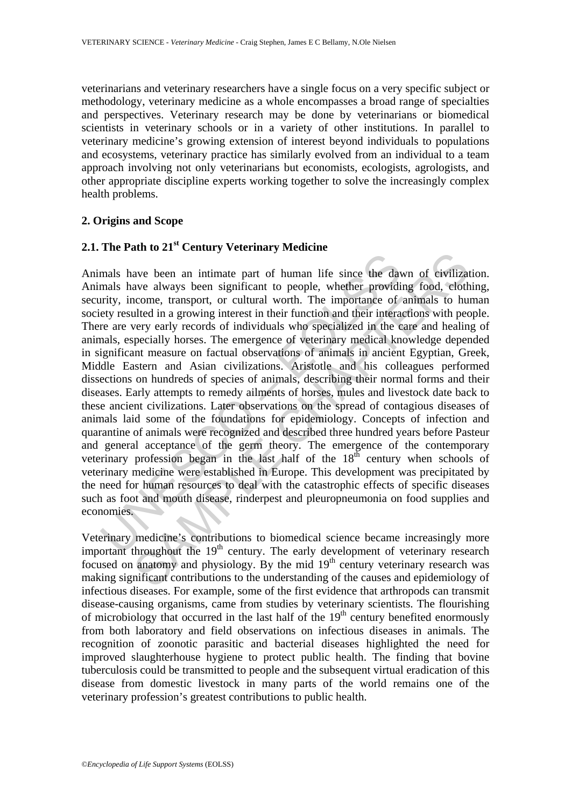veterinarians and veterinary researchers have a single focus on a very specific subject or methodology, veterinary medicine as a whole encompasses a broad range of specialties and perspectives. Veterinary research may be done by veterinarians or biomedical scientists in veterinary schools or in a variety of other institutions. In parallel to veterinary medicine's growing extension of interest beyond individuals to populations and ecosystems, veterinary practice has similarly evolved from an individual to a team approach involving not only veterinarians but economists, ecologists, agrologists, and other appropriate discipline experts working together to solve the increasingly complex health problems.

## **2. Origins and Scope**

# **2.1. The Path to 21st Century Veterinary Medicine**

mals have been an initate part of human life since the dam<br>limals have been an initate part of human life since the providicity, income, transport, or cultural worth. The importance of<br>ety resulted in a growing interest i and the state parameter of human life since the dawn of civilizate<br>ave benevant in the since the dawn of civilizate<br>ave always been significant to people, whether providing food, cloth<br>cacone, transport, or cultural worth Animals have been an intimate part of human life since the dawn of civilization. Animals have always been significant to people, whether providing food, clothing, security, income, transport, or cultural worth. The importance of animals to human society resulted in a growing interest in their function and their interactions with people. There are very early records of individuals who specialized in the care and healing of animals, especially horses. The emergence of veterinary medical knowledge depended in significant measure on factual observations of animals in ancient Egyptian, Greek, Middle Eastern and Asian civilizations. Aristotle and his colleagues performed dissections on hundreds of species of animals, describing their normal forms and their diseases. Early attempts to remedy ailments of horses, mules and livestock date back to these ancient civilizations. Later observations on the spread of contagious diseases of animals laid some of the foundations for epidemiology. Concepts of infection and quarantine of animals were recognized and described three hundred years before Pasteur and general acceptance of the germ theory. The emergence of the contemporary veterinary profession began in the last half of the  $18<sup>th</sup>$  century when schools of veterinary medicine were established in Europe. This development was precipitated by the need for human resources to deal with the catastrophic effects of specific diseases such as foot and mouth disease, rinderpest and pleuropneumonia on food supplies and economies.

Veterinary medicine's contributions to biomedical science became increasingly more important throughout the  $19<sup>th</sup>$  century. The early development of veterinary research focused on anatomy and physiology. By the mid  $19<sup>th</sup>$  century veterinary research was making significant contributions to the understanding of the causes and epidemiology of infectious diseases. For example, some of the first evidence that arthropods can transmit disease-causing organisms, came from studies by veterinary scientists. The flourishing of microbiology that occurred in the last half of the  $19<sup>th</sup>$  century benefited enormously from both laboratory and field observations on infectious diseases in animals. The recognition of zoonotic parasitic and bacterial diseases highlighted the need for improved slaughterhouse hygiene to protect public health. The finding that bovine tuberculosis could be transmitted to people and the subsequent virtual eradication of this disease from domestic livestock in many parts of the world remains one of the veterinary profession's greatest contributions to public health.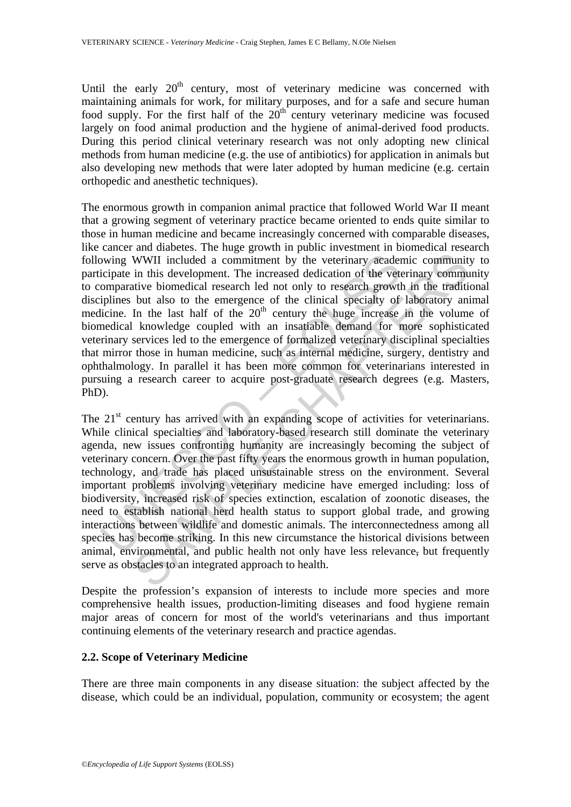Until the early  $20<sup>th</sup>$  century, most of veterinary medicine was concerned with maintaining animals for work, for military purposes, and for a safe and secure human food supply. For the first half of the  $20<sup>th</sup>$  century veterinary medicine was focused largely on food animal production and the hygiene of animal-derived food products. During this period clinical veterinary research was not only adopting new clinical methods from human medicine (e.g. the use of antibiotics) for application in animals but also developing new methods that were later adopted by human medicine (e.g. certain orthopedic and anesthetic techniques).

by wing WWII included a commitment by the veterinary acade<br>cicipate in this development. The increased dedication of the veterinary<br>origines but also to the emergence of the clinical specialty of<br>iglicine. In the last half The enormous growth in companion animal practice that followed World War II meant that a growing segment of veterinary practice became oriented to ends quite similar to those in human medicine and became increasingly concerned with comparable diseases, like cancer and diabetes. The huge growth in public investment in biomedical research following WWII included a commitment by the veterinary academic community to participate in this development. The increased dedication of the veterinary community to comparative biomedical research led not only to research growth in the traditional disciplines but also to the emergence of the clinical specialty of laboratory animal medicine. In the last half of the  $20<sup>th</sup>$  century the huge increase in the volume of biomedical knowledge coupled with an insatiable demand for more sophisticated veterinary services led to the emergence of formalized veterinary disciplinal specialties that mirror those in human medicine, such as internal medicine, surgery, dentistry and ophthalmology. In parallel it has been more common for veterinarians interested in pursuing a research career to acquire post-graduate research degrees (e.g. Masters, PhD).

WWII included a commitment by the veterinary academic communit<br>in this development. The increased dedication of the veterinary communit<br>tive biomedical research led not only to research growth in the traditive<br>but also to The 21<sup>st</sup> century has arrived with an expanding scope of activities for veterinarians. While clinical specialties and laboratory-based research still dominate the veterinary agenda, new issues confronting humanity are increasingly becoming the subject of veterinary concern. Over the past fifty years the enormous growth in human population, technology, and trade has placed unsustainable stress on the environment. Several important problems involving veterinary medicine have emerged including: loss of biodiversity, increased risk of species extinction, escalation of zoonotic diseases, the need to establish national herd health status to support global trade, and growing interactions between wildlife and domestic animals. The interconnectedness among all species has become striking. In this new circumstance the historical divisions between animal, environmental, and public health not only have less relevance, but frequently serve as obstacles to an integrated approach to health.

Despite the profession's expansion of interests to include more species and more comprehensive health issues, production-limiting diseases and food hygiene remain major areas of concern for most of the world's veterinarians and thus important continuing elements of the veterinary research and practice agendas.

## **2.2. Scope of Veterinary Medicine**

There are three main components in any disease situation: the subject affected by the disease, which could be an individual, population, community or ecosystem; the agent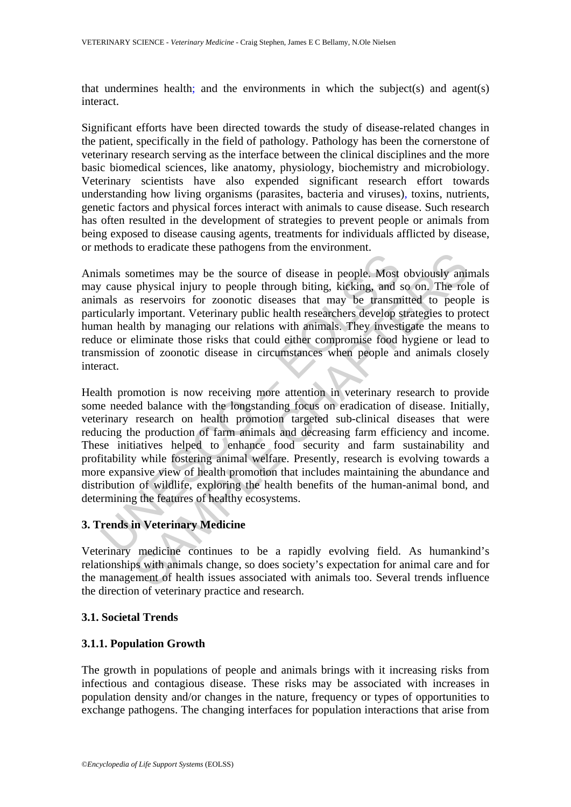that undermines health; and the environments in which the subject(s) and agent(s) interact.

Significant efforts have been directed towards the study of disease-related changes in the patient, specifically in the field of pathology. Pathology has been the cornerstone of veterinary research serving as the interface between the clinical disciplines and the more basic biomedical sciences, like anatomy, physiology, biochemistry and microbiology. Veterinary scientists have also expended significant research effort towards understanding how living organisms (parasites, bacteria and viruses), toxins, nutrients, genetic factors and physical forces interact with animals to cause disease. Such research has often resulted in the development of strategies to prevent people or animals from being exposed to disease causing agents, treatments for individuals afflicted by disease, or methods to eradicate these pathogens from the environment.

Animals sometimes may be the source of disease in people. Most obviously animals may cause physical injury to people through biting, kicking, and so on. The role of animals as reservoirs for zoonotic diseases that may be transmitted to people is particularly important. Veterinary public health researchers develop strategies to protect human health by managing our relations with animals. They investigate the means to reduce or eliminate those risks that could either compromise food hygiene or lead to transmission of zoonotic disease in circumstances when people and animals closely interact.

mals sometimes may be the source of disease in people. Most<br>reause physical injury to people through biting, kicking, and s<br>nals as reservoirs for zoonotic diseases that may be transm<br>cicularly important. Veterinary public In physical injury to people through biting, kiesare in people, Most obviously animous<br>physical injury to people through biting, kieking, and so on. The rol<br>presenctions for zoonotic diseases that may be transmitted to peo Health promotion is now receiving more attention in veterinary research to provide some needed balance with the longstanding focus on eradication of disease. Initially, veterinary research on health promotion targeted sub-clinical diseases that were reducing the production of farm animals and decreasing farm efficiency and income. These initiatives helped to enhance food security and farm sustainability and profitability while fostering animal welfare. Presently, research is evolving towards a more expansive view of health promotion that includes maintaining the abundance and distribution of wildlife, exploring the health benefits of the human-animal bond, and determining the features of healthy ecosystems.

# **3. Trends in Veterinary Medicine**

Veterinary medicine continues to be a rapidly evolving field. As humankind's relationships with animals change, so does society's expectation for animal care and for the management of health issues associated with animals too. Several trends influence the direction of veterinary practice and research.

# **3.1. Societal Trends**

# **3.1.1. Population Growth**

The growth in populations of people and animals brings with it increasing risks from infectious and contagious disease. These risks may be associated with increases in population density and/or changes in the nature, frequency or types of opportunities to exchange pathogens. The changing interfaces for population interactions that arise from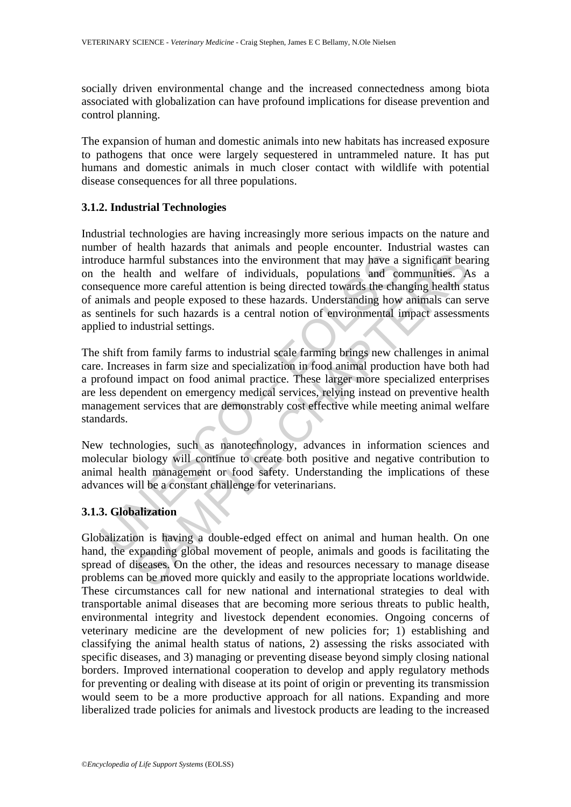socially driven environmental change and the increased connectedness among biota associated with globalization can have profound implications for disease prevention and control planning.

The expansion of human and domestic animals into new habitats has increased exposure to pathogens that once were largely sequestered in untrammeled nature. It has put humans and domestic animals in much closer contact with wildlife with potential disease consequences for all three populations.

# **3.1.2. Industrial Technologies**

or band a model well and well are expected to the environment that may have a the health and welfare of individuals, populations and cosquence more careful attention is being directed towards the chain mands and people exp nammful substances into the environment that may have a significant bead<br>than and welfare of individuals, populations and communities. A<br>end and people exposed to these hazards. Understanding how animals can<br>and people exp Industrial technologies are having increasingly more serious impacts on the nature and number of health hazards that animals and people encounter. Industrial wastes can introduce harmful substances into the environment that may have a significant bearing on the health and welfare of individuals, populations and communities. As a consequence more careful attention is being directed towards the changing health status of animals and people exposed to these hazards. Understanding how animals can serve as sentinels for such hazards is a central notion of environmental impact assessments applied to industrial settings.

The shift from family farms to industrial scale farming brings new challenges in animal care. Increases in farm size and specialization in food animal production have both had a profound impact on food animal practice. These larger more specialized enterprises are less dependent on emergency medical services, relying instead on preventive health management services that are demonstrably cost effective while meeting animal welfare standards.

New technologies, such as nanotechnology, advances in information sciences and molecular biology will continue to create both positive and negative contribution to animal health management or food safety. Understanding the implications of these advances will be a constant challenge for veterinarians.

# **3.1.3. Globalization**

Globalization is having a double-edged effect on animal and human health. On one hand, the expanding global movement of people, animals and goods is facilitating the spread of diseases. On the other, the ideas and resources necessary to manage disease problems can be moved more quickly and easily to the appropriate locations worldwide. These circumstances call for new national and international strategies to deal with transportable animal diseases that are becoming more serious threats to public health, environmental integrity and livestock dependent economies. Ongoing concerns of veterinary medicine are the development of new policies for; 1) establishing and classifying the animal health status of nations, 2) assessing the risks associated with specific diseases, and 3) managing or preventing disease beyond simply closing national borders. Improved international cooperation to develop and apply regulatory methods for preventing or dealing with disease at its point of origin or preventing its transmission would seem to be a more productive approach for all nations. Expanding and more liberalized trade policies for animals and livestock products are leading to the increased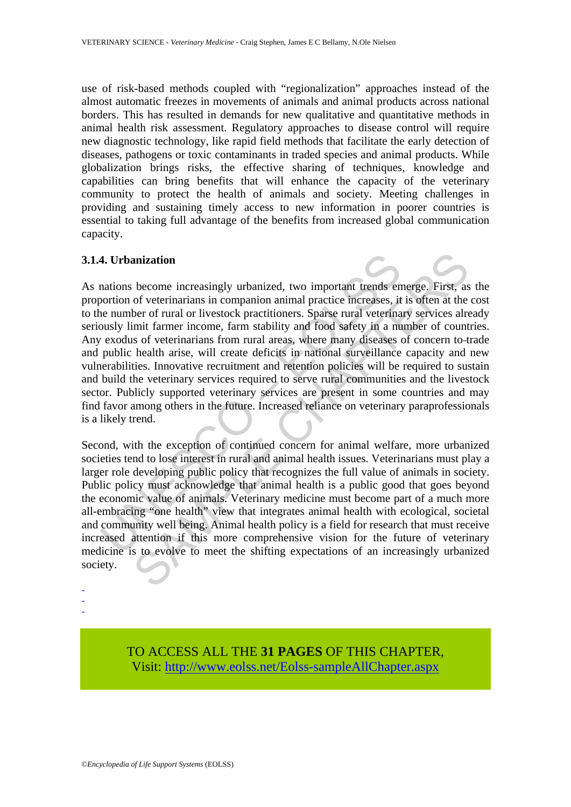use of risk-based methods coupled with "regionalization" approaches instead of the almost automatic freezes in movements of animals and animal products across national borders. This has resulted in demands for new qualitative and quantitative methods in animal health risk assessment. Regulatory approaches to disease control will require new diagnostic technology, like rapid field methods that facilitate the early detection of diseases, pathogens or toxic contaminants in traded species and animal products. While globalization brings risks, the effective sharing of techniques, knowledge and capabilities can bring benefits that will enhance the capacity of the veterinary community to protect the health of animals and society. Meeting challenges in providing and sustaining timely access to new information in poorer countries is essential to taking full advantage of the benefits from increased global communication capacity.

### **3.1.4. Urbanization**

**4. Urbanization**<br> **4. Urbanization**<br> **action** of verterinarians in companion animal practice increases, it<br>
been number of rural or livestock practitioners. Sparse rural veterina<br>
been number of rural or livestock practit **anization**<br>**become** increasingly urbanized, two important trends emerge. First, as<br>of veterinarians in companion animal practice increases, it is often at the<br>ber of rural or livestock practitioners. Sparse rural veterina As nations become increasingly urbanized, two important trends emerge. First, as the proportion of veterinarians in companion animal practice increases, it is often at the cost to the number of rural or livestock practitioners. Sparse rural veterinary services already seriously limit farmer income, farm stability and food safety in a number of countries. Any exodus of veterinarians from rural areas, where many diseases of concern to trade and public health arise, will create deficits in national surveillance capacity and new vulnerabilities. Innovative recruitment and retention policies will be required to sustain and build the veterinary services required to serve rural communities and the livestock sector. Publicly supported veterinary services are present in some countries and may find favor among others in the future. Increased reliance on veterinary paraprofessionals is a likely trend.

Second, with the exception of continued concern for animal welfare, more urbanized societies tend to lose interest in rural and animal health issues. Veterinarians must play a larger role developing public policy that recognizes the full value of animals in society. Public policy must acknowledge that animal health is a public good that goes beyond the economic value of animals. Veterinary medicine must become part of a much more all-embracing "one health" view that integrates animal health with ecological, societal and community well being. Animal health policy is a field for research that must receive increased attention if this more comprehensive vision for the future of veterinary medicine is to evolve to meet the shifting expectations of an increasingly urbanized society.

> TO ACCESS ALL THE **31 PAGES** OF THIS CHAPTER, Visi[t: http://www.eolss.net/Eolss-sampleAllChapter.aspx](https://www.eolss.net/ebooklib/sc_cart.aspx?File=E5-15A-16)

- - -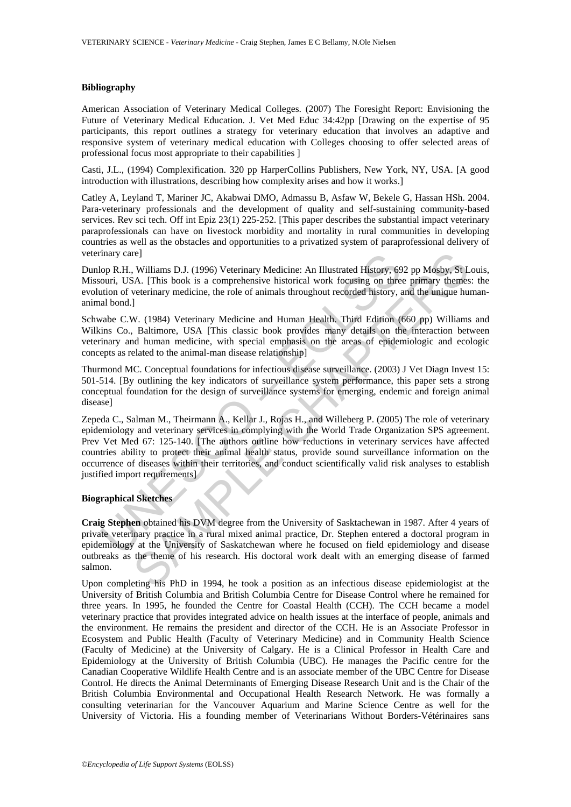#### **Bibliography**

American Association of Veterinary Medical Colleges. (2007) The Foresight Report: Envisioning the Future of Veterinary Medical Education. J. Vet Med Educ 34:42pp [Drawing on the expertise of 95 participants, this report outlines a strategy for veterinary education that involves an adaptive and responsive system of veterinary medical education with Colleges choosing to offer selected areas of professional focus most appropriate to their capabilities ]

Casti, J.L., (1994) Complexification. 320 pp HarperCollins Publishers, New York, NY, USA. [A good introduction with illustrations, describing how complexity arises and how it works.]

Catley A, Leyland T, Mariner JC, Akabwai DMO, Admassu B, Asfaw W, Bekele G, Hassan HSh. 2004. Para-veterinary professionals and the development of quality and self-sustaining community-based services. Rev sci tech. Off int Epiz 23(1) 225-252. [This paper describes the substantial impact veterinary paraprofessionals can have on livestock morbidity and mortality in rural communities in developing countries as well as the obstacles and opportunities to a privatized system of paraprofessional delivery of veterinary care]

Dunlop R.H., Williams D.J. (1996) Veterinary Medicine: An Illustrated History, 692 pp Mosby, St Louis, Missouri, USA. [This book is a comprehensive historical work focusing on three primary themes: the evolution of veterinary medicine, the role of animals throughout recorded history, and the unique humananimal bond.]

Schwabe C.W. (1984) Veterinary Medicine and Human Health. Third Edition (660 pp) Williams and Wilkins Co., Baltimore, USA [This classic book provides many details on the interaction between veterinary and human medicine, with special emphasis on the areas of epidemiologic and ecologic concepts as related to the animal-man disease relationship]

Thurmond MC. Conceptual foundations for infectious disease surveillance. (2003) J Vet Diagn Invest 15: 501-514. [By outlining the key indicators of surveillance system performance, this paper sets a strong conceptual foundation for the design of surveillance systems for emerging, endemic and foreign animal disease]

mary care)<br>
on R.H., Williams D.J. (1996) Veterinary Medicine: An Illustrated History, 69<br>
op R.H., Williams D.J. (1996) Veterinary Medicine: An Illustrated History, a<br>
ution of veterinary medicine, the role of animals thr rel Williams D.J. (1996) Veterinary Medicine: An Illustrated History, 692 pp Moshy, St I.<br>
Williams D.J. (1996) Veterinary medicine: An Illustrated History, 692 pp Moshy, St I.<br>
This book is a comprehensive historical work Zepeda C., Salman M., Theirmann A., Kellar J., Rojas H., and Willeberg P. (2005) The role of veterinary epidemiology and veterinary services in complying with the World Trade Organization SPS agreement. Prev Vet Med 67: 125-140. [The authors outline how reductions in veterinary services have affected countries ability to protect their animal health status, provide sound surveillance information on the occurrence of diseases within their territories, and conduct scientifically valid risk analyses to establish justified import requirements]

#### **Biographical Sketches**

**Craig Stephen** obtained his DVM degree from the University of Sasktachewan in 1987. After 4 years of private veterinary practice in a rural mixed animal practice, Dr. Stephen entered a doctoral program in epidemiology at the University of Saskatchewan where he focused on field epidemiology and disease outbreaks as the theme of his research. His doctoral work dealt with an emerging disease of farmed salmon.

Upon completing his PhD in 1994, he took a position as an infectious disease epidemiologist at the University of British Columbia and British Columbia Centre for Disease Control where he remained for three years. In 1995, he founded the Centre for Coastal Health (CCH). The CCH became a model veterinary practice that provides integrated advice on health issues at the interface of people, animals and the environment. He remains the president and director of the CCH. He is an Associate Professor in Ecosystem and Public Health (Faculty of Veterinary Medicine) and in Community Health Science (Faculty of Medicine) at the University of Calgary. He is a Clinical Professor in Health Care and Epidemiology at the University of British Columbia (UBC). He manages the Pacific centre for the Canadian Cooperative Wildlife Health Centre and is an associate member of the UBC Centre for Disease Control. He directs the Animal Determinants of Emerging Disease Research Unit and is the Chair of the British Columbia Environmental and Occupational Health Research Network. He was formally a consulting veterinarian for the Vancouver Aquarium and Marine Science Centre as well for the University of Victoria. His a founding member of Veterinarians Without Borders-Vétérinaires sans